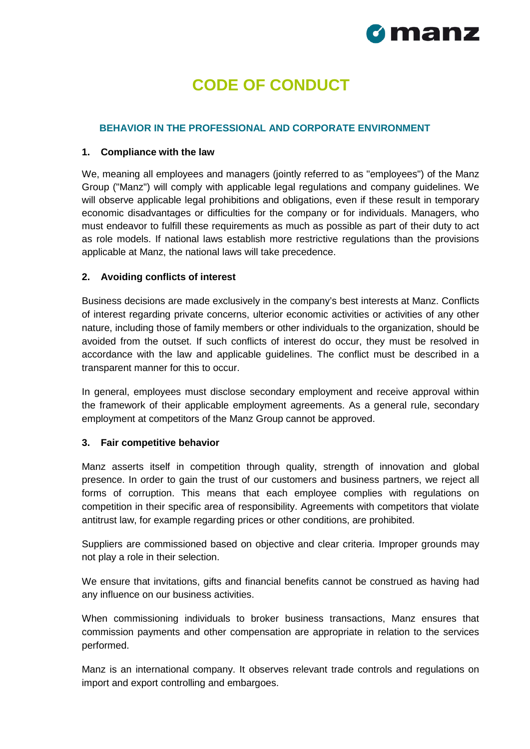

# **CODE OF CONDUCT**

#### **BEHAVIOR IN THE PROFESSIONAL AND CORPORATE ENVIRONMENT**

#### **1. Compliance with the law**

We, meaning all employees and managers (jointly referred to as "employees") of the Manz Group ("Manz") will comply with applicable legal regulations and company guidelines. We will observe applicable legal prohibitions and obligations, even if these result in temporary economic disadvantages or difficulties for the company or for individuals. Managers, who must endeavor to fulfill these requirements as much as possible as part of their duty to act as role models. If national laws establish more restrictive regulations than the provisions applicable at Manz, the national laws will take precedence.

#### **2. Avoiding conflicts of interest**

Business decisions are made exclusively in the company's best interests at Manz. Conflicts of interest regarding private concerns, ulterior economic activities or activities of any other nature, including those of family members or other individuals to the organization, should be avoided from the outset. If such conflicts of interest do occur, they must be resolved in accordance with the law and applicable guidelines. The conflict must be described in a transparent manner for this to occur.

In general, employees must disclose secondary employment and receive approval within the framework of their applicable employment agreements. As a general rule, secondary employment at competitors of the Manz Group cannot be approved.

#### **3. Fair competitive behavior**

Manz asserts itself in competition through quality, strength of innovation and global presence. In order to gain the trust of our customers and business partners, we reject all forms of corruption. This means that each employee complies with regulations on competition in their specific area of responsibility. Agreements with competitors that violate antitrust law, for example regarding prices or other conditions, are prohibited.

Suppliers are commissioned based on objective and clear criteria. Improper grounds may not play a role in their selection.

We ensure that invitations, gifts and financial benefits cannot be construed as having had any influence on our business activities.

When commissioning individuals to broker business transactions, Manz ensures that commission payments and other compensation are appropriate in relation to the services performed.

Manz is an international company. It observes relevant trade controls and regulations on import and export controlling and embargoes.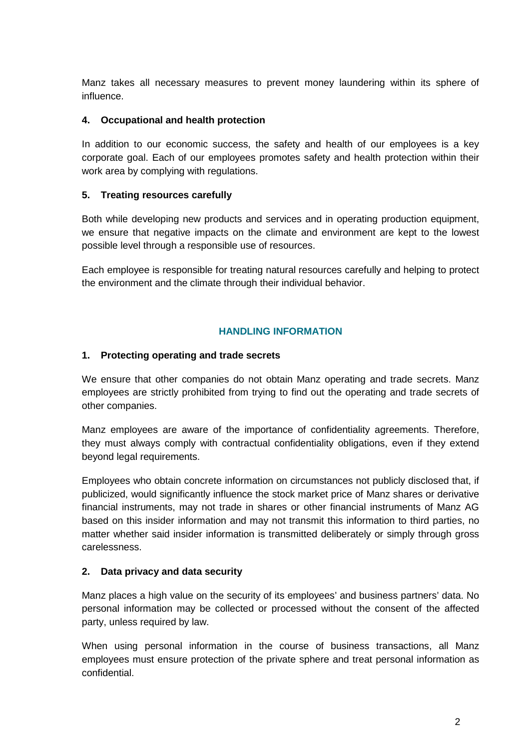Manz takes all necessary measures to prevent money laundering within its sphere of influence.

#### **4. Occupational and health protection**

In addition to our economic success, the safety and health of our employees is a key corporate goal. Each of our employees promotes safety and health protection within their work area by complying with regulations.

# **5. Treating resources carefully**

Both while developing new products and services and in operating production equipment, we ensure that negative impacts on the climate and environment are kept to the lowest possible level through a responsible use of resources.

Each employee is responsible for treating natural resources carefully and helping to protect the environment and the climate through their individual behavior.

#### **HANDLING INFORMATION**

#### **1. Protecting operating and trade secrets**

We ensure that other companies do not obtain Manz operating and trade secrets. Manz employees are strictly prohibited from trying to find out the operating and trade secrets of other companies.

Manz employees are aware of the importance of confidentiality agreements. Therefore, they must always comply with contractual confidentiality obligations, even if they extend beyond legal requirements.

Employees who obtain concrete information on circumstances not publicly disclosed that, if publicized, would significantly influence the stock market price of Manz shares or derivative financial instruments, may not trade in shares or other financial instruments of Manz AG based on this insider information and may not transmit this information to third parties, no matter whether said insider information is transmitted deliberately or simply through gross carelessness.

# **2. Data privacy and data security**

Manz places a high value on the security of its employees' and business partners' data. No personal information may be collected or processed without the consent of the affected party, unless required by law.

When using personal information in the course of business transactions, all Manz employees must ensure protection of the private sphere and treat personal information as confidential.